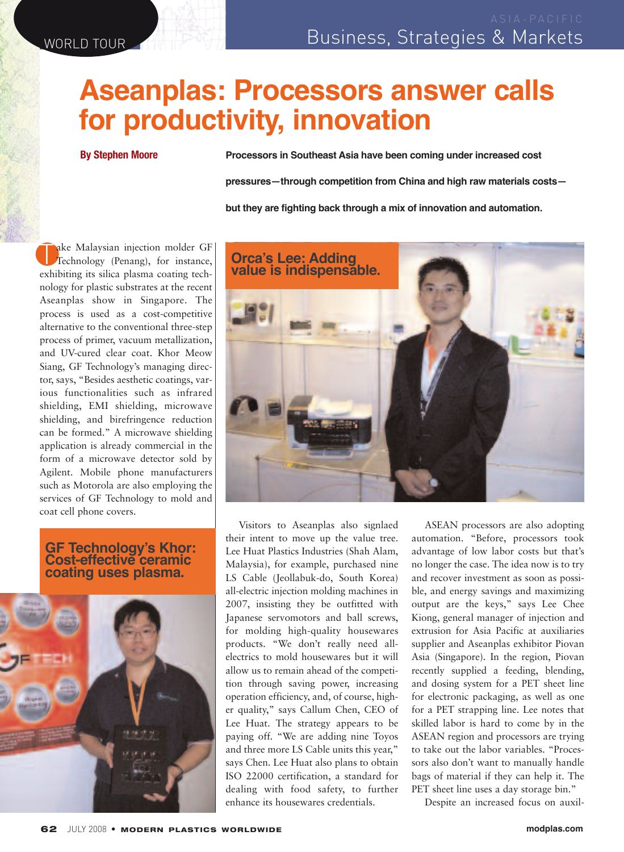## **Aseanplas: Processors answer calls for productivity, innovation**

**By Stephen Moore**

**Processors in Southeast Asia have been coming under increased cost**

**pressures—through competition from China and high raw materials costs—**

**but they are fighting back through a mix of innovation and automation.**

Take Malaysian injection molder GF Technology (Penang), for instance, exhibiting its silica plasma coating technology for plastic substrates at the recent Aseanplas show in Singapore. The process is used as a cost-competitive alternative to the conventional three-step process of primer, vacuum metallization, and UV-cured clear coat. Khor Meow Siang, GF Technology's managing director, says, "Besides aesthetic coatings, various functionalities such as infrared shielding, EMI shielding, microwave shielding, and birefringence reduction can be formed." A microwave shielding application is already commercial in the form of a microwave detector sold by Agilent. Mobile phone manufacturers such as Motorola are also employing the services of GF Technology to mold and coat cell phone covers.

## **GF Technology's Khor: Cost-effective ceramic coating uses plasma.**





Visitors to Aseanplas also signlaed their intent to move up the value tree. Lee Huat Plastics Industries (Shah Alam, Malaysia), for example, purchased nine LS Cable (Jeollabuk-do, South Korea) all-electric injection molding machines in 2007, insisting they be outfitted with Japanese servomotors and ball screws, for molding high-quality housewares products. "We don't really need allelectrics to mold housewares but it will allow us to remain ahead of the competition through saving power, increasing operation efficiency, and, of course, higher quality," says Callum Chen, CEO of Lee Huat. The strategy appears to be paying off. "We are adding nine Toyos and three more LS Cable units this year," says Chen. Lee Huat also plans to obtain ISO 22000 certification, a standard for dealing with food safety, to further enhance its housewares credentials.

ASEAN processors are also adopting automation. "Before, processors took advantage of low labor costs but that's no longer the case. The idea now is to try and recover investment as soon as possible, and energy savings and maximizing output are the keys," says Lee Chee Kiong, general manager of injection and extrusion for Asia Pacific at auxiliaries supplier and Aseanplas exhibitor Piovan Asia (Singapore). In the region, Piovan recently supplied a feeding, blending, and dosing system for a PET sheet line for electronic packaging, as well as one for a PET strapping line. Lee notes that skilled labor is hard to come by in the ASEAN region and processors are trying to take out the labor variables. "Processors also don't want to manually handle bags of material if they can help it. The PET sheet line uses a day storage bin."

Despite an increased focus on auxil-